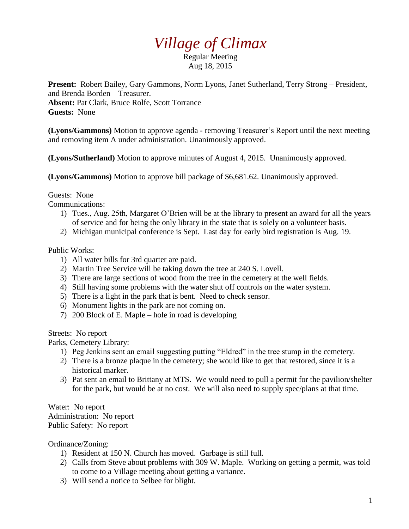## *Village of Climax*

Regular Meeting Aug 18, 2015

**Present:** Robert Bailey, Gary Gammons, Norm Lyons, Janet Sutherland, Terry Strong – President, and Brenda Borden – Treasurer. **Absent:** Pat Clark, Bruce Rolfe, Scott Torrance **Guests:** None

**(Lyons/Gammons)** Motion to approve agenda - removing Treasurer's Report until the next meeting and removing item A under administration. Unanimously approved.

**(Lyons/Sutherland)** Motion to approve minutes of August 4, 2015. Unanimously approved.

**(Lyons/Gammons)** Motion to approve bill package of \$6,681.62. Unanimously approved.

## Guests: None

Communications:

- 1) Tues., Aug. 25th, Margaret O'Brien will be at the library to present an award for all the years of service and for being the only library in the state that is solely on a volunteer basis.
- 2) Michigan municipal conference is Sept. Last day for early bird registration is Aug. 19.

## Public Works:

- 1) All water bills for 3rd quarter are paid.
- 2) Martin Tree Service will be taking down the tree at 240 S. Lovell.
- 3) There are large sections of wood from the tree in the cemetery at the well fields.
- 4) Still having some problems with the water shut off controls on the water system.
- 5) There is a light in the park that is bent. Need to check sensor.
- 6) Monument lights in the park are not coming on.
- 7) 200 Block of E. Maple hole in road is developing

Streets: No report

Parks, Cemetery Library:

- 1) Peg Jenkins sent an email suggesting putting "Eldred" in the tree stump in the cemetery.
- 2) There is a bronze plaque in the cemetery; she would like to get that restored, since it is a historical marker.
- 3) Pat sent an email to Brittany at MTS. We would need to pull a permit for the pavilion/shelter for the park, but would be at no cost. We will also need to supply spec/plans at that time.

Water: No report Administration: No report Public Safety: No report

Ordinance/Zoning:

- 1) Resident at 150 N. Church has moved. Garbage is still full.
- 2) Calls from Steve about problems with 309 W. Maple. Working on getting a permit, was told to come to a Village meeting about getting a variance.
- 3) Will send a notice to Selbee for blight.